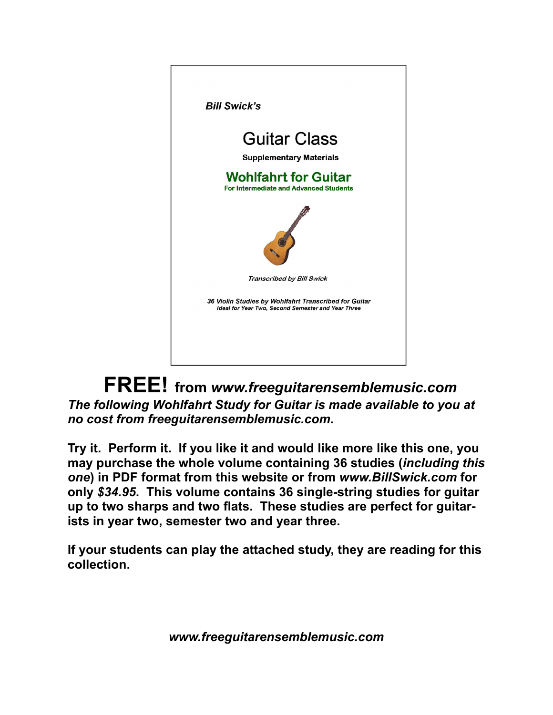

 **FREE! from** *www.freeguitarensemblemusic.com The following Wohlfahrt Study for Guitar is made available to you at no cost from freeguitarensemblemusic.com.* 

**Try it. Perform it. If you like it and would like more like this one, you may purchase the whole volume containing 36 studies (***including this one***) in PDF format from this website or from** *www.BillSwick.com* **for only** *\$34.95***. This volume contains 36 single-string studies for guitar up to two sharps and two flats. These studies are perfect for guitarists in year two, semester two and year three.** 

**If your students can play the attached study, they are reading for this collection.** 

*www.freeguitarensemblemusic.com*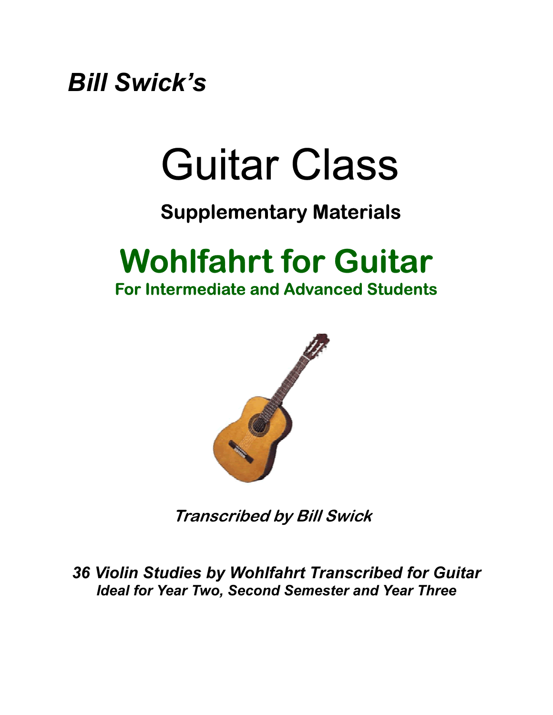*Bill Swick's* 

# Guitar Class

#### **Supplementary Materials**

## **Wohlfahrt for Guitar**

**For Intermediate and Advanced Students** 



**Transcribed by Bill Swick** 

*36 Violin Studies by Wohlfahrt Transcribed for Guitar Ideal for Year Two, Second Semester and Year Three*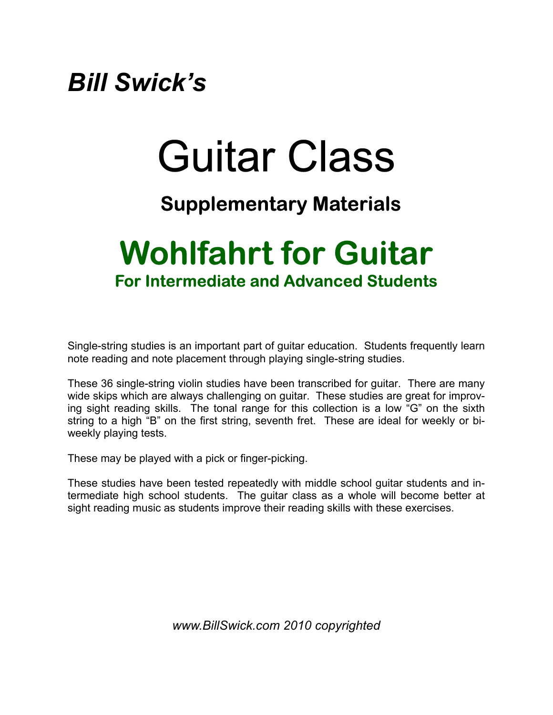### *Bill Swick's*

# Guitar Class

#### **Supplementary Materials**

### **Wohlfahrt for Guitar For Intermediate and Advanced Students**

Single-string studies is an important part of guitar education. Students frequently learn note reading and note placement through playing single-string studies.

These 36 single-string violin studies have been transcribed for guitar. There are many wide skips which are always challenging on guitar. These studies are great for improving sight reading skills. The tonal range for this collection is a low "G" on the sixth string to a high "B" on the first string, seventh fret. These are ideal for weekly or biweekly playing tests.

These may be played with a pick or finger-picking.

These studies have been tested repeatedly with middle school guitar students and intermediate high school students. The guitar class as a whole will become better at sight reading music as students improve their reading skills with these exercises.

*www.BillSwick.com 2010 copyrighted*